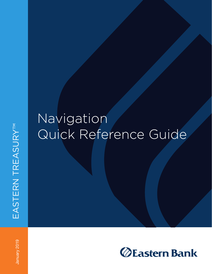# Navigation Quick Reference Guide

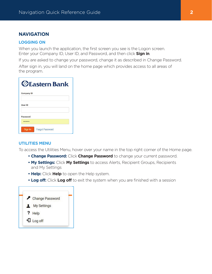# **NAVIGATION**

#### **LOGGING ON**

When you launch the application, the first screen you see is the Logon screen. Enter your Company ID, User ID, and Password, and then click **Sign in**.

If you are asked to change your password, change it as described in Change Password.

After sign in, you will land on the home page which provides access to all areas of the program.

|                   | <b>ZEastern Bank</b>   |
|-------------------|------------------------|
| <b>Company ID</b> |                        |
| <b>User ID</b>    |                        |
| Password<br>      |                        |
| Sign In           | <b>Forgot Password</b> |

#### **UTILITIES MENU**

To access the Utilities Menu, hover over your name in the top right corner of the Home page.

- **Change Password:** Click **Change Password** to change your current password.
- **My Settings:** Click **My Settings** to access Alerts, Recipient Groups, Recipients and My Settings
- **Help:** Click **Help** to open the Help system.
- **Log off:** Click **Log off** to exit the system when you are finished with a session

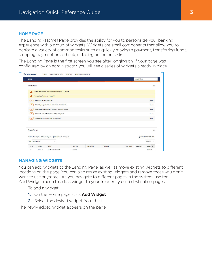#### **HOME PAGE**

The Landing (Home) Page provides the ability for you to personalize your banking experience with a group of widgets. Widgets are small components that allow you to perform a variety of common tasks such as quickly making a payment, transferring funds, stopping payment on a check, or taking action on tasks.

The Landing Page is the first screen you see after logging on. If your page was configured by an administrator, you will see a series of widgets already in place.

| Home                                                                   |            |                   |                    |                    | Add Widget |                            |
|------------------------------------------------------------------------|------------|-------------------|--------------------|--------------------|------------|----------------------------|
| <b>Notifications</b>                                                   |            |                   |                    |                    |            | *                          |
| Notification Advanced customer with transfer More V<br>А               |            |                   |                    |                    |            |                            |
| Transaction Reporting More V<br>Α                                      |            |                   |                    |                    |            |                            |
| $\bullet$<br>Files were recently imported.                             |            |                   |                    |                    |            | <b>View</b>                |
| $\bullet$<br>Recurring Payments and/or Transfers recently failed.      |            |                   |                    |                    |            | View                       |
| $\overline{2}$<br>Rejected payments and/or transfers need your review. |            |                   |                    |                    |            | <b>View</b>                |
| Payments and/or Transfers await your approval.<br>$\bullet$            |            |                   |                    |                    |            | View                       |
| New users need your review and approval.<br>$\bullet$                  |            |                   |                    |                    |            | View                       |
|                                                                        |            |                   |                    |                    |            |                            |
| Payee Center                                                           |            |                   |                    |                    |            | *                          |
| ⊕ Add New Payee BoExport Payees A Print Payees + Import                |            |                   |                    |                    |            | C 10/17/2018 03:45 PM      |
| Select fields<br>Filter<br>$\overline{\phantom{a}}$                    |            |                   |                    |                    |            | All Payees<br>$\mathbf{v}$ |
| $\Box$ All<br><b>Actions</b><br>Name                                   | Payee Type | <b>Payee Name</b> | <b>Payee Email</b> | <b>Payee Phone</b> | Payee Mo   | *<br><b>Status</b>         |

#### **MANAGING WIDGETS**

You can add widgets to the Landing Page, as well as move existing widgets to different locations on the page. You can also resize existing widgets and remove those you don't want to use anymore. As you navigate to different pages in the system, use the Add Widget menu to add a widget to your frequently used destination pages.

To add a widget:

- **1.** On the Home page, click **Add Widget**.
- **2.** Select the desired widget from the list.

The newly added widget appears on the page.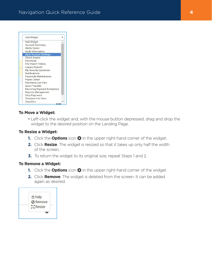| <b>Add Widget</b>                   |
|-------------------------------------|
| <b>Add Widget</b>                   |
| <b>Account Summary</b>              |
| Alerts Center                       |
| <b>Audit Information</b>            |
| <b>Bank Account Settings</b>        |
| <b>Check Inquiry</b>                |
| Download                            |
| <b>File Import History</b>          |
| <b>Legacy Reports</b>               |
| <b>My Security Questions</b>        |
| <b>Notifications</b>                |
| Passcode Maintenance                |
| Payee Center                        |
| <b>Payments List View</b>           |
| <b>Ouick Transfer</b>               |
| <b>Recurring Payment Exceptions</b> |
| <b>Reports Management</b>           |
| <b>Stop Payments</b>                |
| <b>Template List View</b>           |
| <b>Transfers</b>                    |

## **To Move a Widget:**

• Left-click the widget and, with the mouse button depressed, drag and drop the widget to the desired position on the Landing Page.

#### **To Resize a Widget:**

- **1.** Click the **Options** icon  $\ddot{\mathbf{\Omega}}$  in the upper right-hand corner of the widget.
- **2.** Click **Resize**. The widget is resized so that it takes up only half the width of the screen.
- **3.** To return the widget to its original size, repeat Steps 1 and 2.

#### **To Remove a Widget:**

- **1.** Click the **Options** icon  $\ddot{\mathbf{\Omega}}$  in the upper right-hand corner of the widget.
- **2.** Click **Remove**. The widget is deleted from the screen. It can be added again as desired.

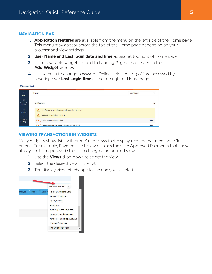#### **NAVIGATION BAR**

- **1. Application features** are available from the menu on the left side of the Home page. This menu may appear across the top of the Home page depending on your browser and view settings.
- **2. User Name and Last login date and time** appear at top right of Home page
- **3.** List of available widgets to add to Landing Page are accessed in the **Add Widget** window
- **4.** Utility menu to change password, Online Help and Log off are accessed by hovering over **Last Login time** at the top right of Home page

| <b>Eastern Bank</b>                                    |                                                                  |             |
|--------------------------------------------------------|------------------------------------------------------------------|-------------|
| 昔<br>Home                                              | Home<br>Add Widget                                               |             |
| $\qquad \qquad \Box$<br>Payments &<br><b>Transfers</b> | <b>Notifications</b>                                             | 粦           |
| $\mathbf{H}$<br>Reporting                              | Notification Advanced customer with transfer More V<br>Α         |             |
| 曲                                                      | Transaction Reporting More ✔<br>Α                                |             |
| Administration<br>& Settings                           | Files were recently imported.<br>$\overline{\mathbf{0}}$         | <b>View</b> |
|                                                        | Recurring Payments and/or Transfers recently failed.<br>$\Omega$ | <b>View</b> |

## **VIEWING TRANSACTIONS IN WIDGETS**

Many widgets show lists with predefined views that display records that meet specific criteria. For example, Payments List View displays the view Approved Payments that shows all payments in approved status. To change a predefined view:

- **1.** Use the **Views** drop-down to select the view
- **2.** Select the desired view in the list
- **3.** The display view will change to the one you selected

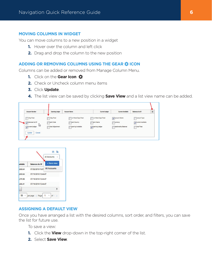#### **MOVING COLUMNS IN WIDGET**

You can move columns to a new position in a widget

- **1.** Hover over the column and left click
- **2.** Drag and drop the column to the new position

## **ADDING OR REMOVING COLUMNS USING THE GEAR ICON**

Columns can be added or removed from Manage Column Menu.

- **1.** Click on the **Gear Icon**
- **2.** Check or Uncheck column menu items
- **3.** Click **Update**.
- **4.** The list view can be saved by clicking **Save View** and a list view name can be added.

| <b>Account Number</b>                                                                                          | <b>Opening Ledger</b>                       | <b>Account Name</b>                                                   | <b>Current Ledger</b>                                   | <b>Current Available</b>                                        | <b>Balances As Of</b>                            | 森 |
|----------------------------------------------------------------------------------------------------------------|---------------------------------------------|-----------------------------------------------------------------------|---------------------------------------------------------|-----------------------------------------------------------------|--------------------------------------------------|---|
| Day Float<br>$\sqrt{\frac{1}{2}}$ alances As Of<br>M<br>$\sqrt{\frac{1}{2}}$ urrent Ledger<br>Update<br>Cancel | -Day Float<br>Bank Code<br>Float Adjustment | or More Days Float<br><b>Jank Country</b><br><b>Ppening Available</b> | or More Days Float<br><b>Jank Name</b><br>Pening Ledger | V coount Name<br><b>Furrency</b><br><b>Relationship Balance</b> | count Type<br>V Purrent Available<br>Total Float |   |

|          |                       | All Accounts        |
|----------|-----------------------|---------------------|
| vailable | <b>Balances As Of</b> | + Save view         |
| 633.64   | 07/22/2019 13:51      | <b>All Accounts</b> |
| 633.64   | 07/19/2018 12:44:47   |                     |
| 279.58   | 07/19/2018 12:44:47   |                     |
| 336.41   | 07/19/2018 12:44:47   |                     |
|          |                       | Þ                   |

#### **ASSIGNING A DEFAULT VIEW**

Once you have arranged a list with the desired columns, sort order, and filters, you can save the list for future use.

To save a view:

- **1.** Click the **View** drop-down in the top-right corner of the list.
- **2.** Select **Save View**.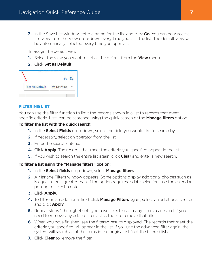**3.** In the Save List window, enter a name for the list and click **Go**. You can now access the view from the View drop-down every time you visit the list. The default view will be automatically selected every time you open a list.

To assign the default view:

- **1.** Select the view you want to set as the default from the **View** menu.
- **2.** Click **Set as Default**.

| <b>Set As Default</b> | <b>My List View</b> |
|-----------------------|---------------------|

# **FILTERING LIST**

You can use the filter function to limit the records shown in a list to records that meet specific criteria. Lists can be searched using the quick search or the **Manage filters** option.

# **To filter the list with the quick search:**

- **1.** In the **Select Fields** drop-down, select the field you would like to search by.
- **2.** If necessary, select an operator from the list.
- **3.** Enter the search criteria.
- **4.** Click **Apply**. The records that meet the criteria you specified appear in the list.
- **5.** If you wish to search the entire list again, click **Clear** and enter a new search.

# **To filter a list using the "Manage filters" option:**

- **1.** In the **Select fields** drop-down, select **Manage filters**.
- **2.** A Manage Filters window appears. Some options display additional choices such as is equal to or is greater than. If the option requires a date selection, use the calendar pop-up to select a date.
- **3.** Click **Apply**.
- **4.** To filter on an additional field, click **Manage Filters** again, select an additional choice and click **Apply**.
- **5.** Repeat steps 1 through 4 until you have selected as many filters as desired. If you need to remove any added filters, click the x to remove that filter.
- **6.** When you have finished, see the filtered results displayed. The records that meet the criteria you specified will appear in the list. If you use the advanced filter again, the system will search all of the items in the original list (not the filtered list).
- **7.** Click **Clear** to remove the filter.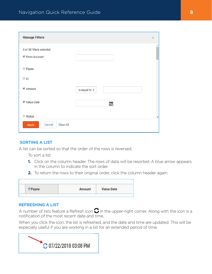| <b>Manage Filters</b>                    |                    | $\times$             |
|------------------------------------------|--------------------|----------------------|
| 3 of 38 filters selected<br>From Account |                    |                      |
| Payee                                    |                    |                      |
| $\Box$ ID                                |                    |                      |
| ■ Amount                                 | is equal to $\sim$ |                      |
| Value Date                               | 釂                  |                      |
| Status                                   |                    | $\blacktriangledown$ |
| Clear All<br>Apply<br>Cancel             |                    |                      |

## **SORTING A LIST**

A list can be sorted so that the order of the rows is reversed.

To sort a list:

- **1.** Click on the column header. The rows of data will be resorted. A blue arrow appears in the column to indicate the sort order.
- **2.** To return the rows to their original order, click the column header again.

|       |        | <b>Value Date</b> |
|-------|--------|-------------------|
| Payee | Amount |                   |

#### **REFRESHING A LIST**

A number of lists feature a Refresh icon  $\mathbf C$  in the upper-right corner. Along with the icon is a notification of the most recent date and time.

When you click the icon, the list is refreshed, and the date and time are updated. This will be especially useful if you are working in a list for an extended period of time.